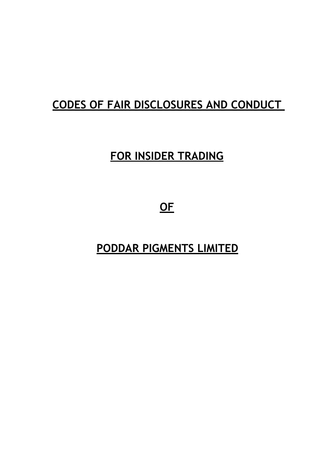# **CODES OF FAIR DISCLOSURES AND CONDUCT**

# **FOR INSIDER TRADING**

**OF**

**PODDAR PIGMENTS LIMITED**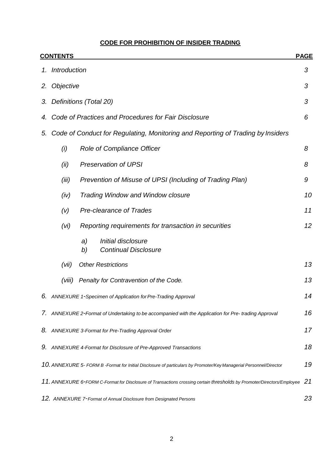# **CODE FOR PROHIBITION OF INSIDER TRADING**

|    | <b>CONTENTS</b>                                                                 |                                                                                                                        | <b>PAGE</b> |  |  |  |  |  |
|----|---------------------------------------------------------------------------------|------------------------------------------------------------------------------------------------------------------------|-------------|--|--|--|--|--|
|    | 1. Introduction                                                                 |                                                                                                                        | 3           |  |  |  |  |  |
| 2. | Objective                                                                       |                                                                                                                        | 3           |  |  |  |  |  |
| 3. |                                                                                 | Definitions (Total 20)                                                                                                 | 3           |  |  |  |  |  |
| 4. | Code of Practices and Procedures for Fair Disclosure                            |                                                                                                                        |             |  |  |  |  |  |
| 5. | Code of Conduct for Regulating, Monitoring and Reporting of Trading by Insiders |                                                                                                                        |             |  |  |  |  |  |
|    | (i)                                                                             | Role of Compliance Officer                                                                                             | 8           |  |  |  |  |  |
|    | (ii)                                                                            | <b>Preservation of UPSI</b>                                                                                            | 8           |  |  |  |  |  |
|    | (iii)                                                                           | Prevention of Misuse of UPSI (Including of Trading Plan)                                                               | 9           |  |  |  |  |  |
|    | (iv)                                                                            | <b>Trading Window and Window closure</b>                                                                               | 10          |  |  |  |  |  |
|    | (V)                                                                             | <b>Pre-clearance of Trades</b>                                                                                         | 11          |  |  |  |  |  |
|    | (vi)                                                                            | Reporting requirements for transaction in securities                                                                   | 12          |  |  |  |  |  |
|    |                                                                                 | Initial disclosure<br>a)<br><b>Continual Disclosure</b><br>b)                                                          |             |  |  |  |  |  |
|    | (vii)                                                                           | <b>Other Restrictions</b>                                                                                              | 13          |  |  |  |  |  |
|    | (viii)                                                                          | Penalty for Contravention of the Code.                                                                                 | 13          |  |  |  |  |  |
|    |                                                                                 | 6. ANNEXURE 1-Specimen of Application for Pre-Trading Approval                                                         | 14          |  |  |  |  |  |
|    |                                                                                 | 7. ANNEXURE 2-Format of Undertaking to be accompanied with the Application for Pre-trading Approval                    | 16          |  |  |  |  |  |
| 8. |                                                                                 | ANNEXURE 3-Format for Pre-Trading Approval Order                                                                       | 17          |  |  |  |  |  |
|    |                                                                                 | 9. ANNEXURE 4-Format for Disclosure of Pre-Approved Transactions                                                       | 18          |  |  |  |  |  |
|    |                                                                                 | 10. ANNEXURE 5- FORM B -Format for Initial Disclosure of particulars by Promoter/Key Managerial Personnel/Director     | 19          |  |  |  |  |  |
|    |                                                                                 | 11. ANNEXURE 6-FORM C-Format for Disclosure of Transactions crossing certain thresholds by Promoter/Directors/Employee | 21          |  |  |  |  |  |
|    |                                                                                 | 12. ANNEXURE 7- Format of Annual Disclosure from Designated Persons                                                    | 23          |  |  |  |  |  |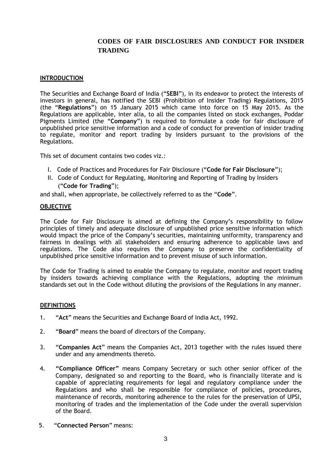# **CODES OF FAIR DISCLOSURES AND CONDUCT FOR INSIDER TRADING**

## **INTRODUCTION**

The Securities and Exchange Board of India ("**SEBI**"), in its endeavor to protect the interests of investors in general, has notified the SEBI (Prohibition of Insider Trading) Regulations, 2015 (the "**Regulations**") on 15 January 2015 which came into force on 15 May 2015. As the Regulations are applicable, inter alia, to all the companies listed on stock exchanges, Poddar Pigments Limited (the "**Company**") is required to formulate a code for fair disclosure of unpublished price sensitive information and a code of conduct for prevention of insider trading to regulate, monitor and report trading by insiders pursuant to the provisions of the Regulations.

This set of document contains two codes viz.:

- I. Code of Practices and Procedures for Fair Disclosure ("**Code for Fair Disclosure**");
- II. Code of Conduct for Regulating, Monitoring and Reporting of Trading by Insiders ("**Code for Trading**");

and shall, when appropriate, be collectively referred to as the "**Code**".

#### **OBJECTIVE**

The Code for Fair Disclosure is aimed at defining the Company's responsibility to follow principles of timely and adequate disclosure of unpublished price sensitive information which would impact the price of the Company's securities, maintaining uniformity, transparency and fairness in dealings with all stakeholders and ensuring adherence to applicable laws and regulations. The Code also requires the Company to preserve the confidentiality of unpublished price sensitive information and to prevent misuse of such information.

The Code for Trading is aimed to enable the Company to regulate, monitor and report trading by insiders towards achieving compliance with the Regulations, adopting the minimum standards set out in the Code without diluting the provisions of the Regulations in any manner.

#### **DEFINITIONS**

- 1. "**Act**" means the Securities and Exchange Board of India Act, 1992.
- 2. "**Board**" means the board of directors of the Company.
- 3. "**Companies Act**" means the Companies Act, 2013 together with the rules issued there under and any amendments thereto.
- 4. **"Compliance Officer"** means Company Secretary or such other senior officer of the Company, designated so and reporting to the Board, who is financially literate and is capable of appreciating requirements for legal and regulatory compliance under the Regulations and who shall be responsible for compliance of policies, procedures, maintenance of records, monitoring adherence to the rules for the preservation of UPSI, monitoring of trades and the implementation of the Code under the overall supervision of the Board.
- 5. "**Connected Person**" means: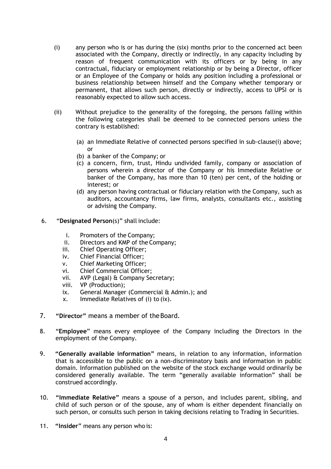- (i) any person who is or has during the (six) months prior to the concerned act been associated with the Company, directly or indirectly, in any capacity including by reason of frequent communication with its officers or by being in any contractual, fiduciary or employment relationship or by being a Director, officer or an Employee of the Company or holds any position including a professional or business relationship between himself and the Company whether temporary or permanent, that allows such person, directly or indirectly, access to UPSI or is reasonably expected to allow such access.
- (ii) Without prejudice to the generality of the foregoing, the persons falling within the following categories shall be deemed to be connected persons unless the contrary is established:
	- (a) an Immediate Relative of connected persons specified in sub-clause(i) above; or
	- (b) a banker of the Company; or
	- (c) a concern, firm, trust, Hindu undivided family, company or association of persons wherein a director of the Company or his Immediate Relative or banker of the Company, has more than 10 (ten) per cent, of the holding or interest; or
	- (d) any person having contractual or fiduciary relation with the Company, such as auditors, accountancy firms, law firms, analysts, consultants etc., assisting or advising the Company.
- 6. "**Designated Person**(s)" shall include:
	- i. Promoters of the Company;
	- ii. Directors and KMP of the Company;
	- iii. Chief Operating Officer;
	- iv. Chief Financial Officer;
	- v. Chief Marketing Officer;
	- vi. Chief Commercial Officer;
	- vii. AVP (Legal) & Company Secretary;
	- viii. VP (Production);
	- ix. General Manager (Commercial & Admin.); and
	- x. Immediate Relatives of (i) to (ix).
- 7. **"Director"** means a member of theBoard.
- 8. "**Employee**" means every employee of the Company including the Directors in the employment of the Company.
- 9. **"Generally available information"** means, in relation to any information, information that is accessible to the public on a non-discriminatory basis and information in public domain. Information published on the website of the stock exchange would ordinarily be considered generally available. The term "generally available information" shall be construed accordingly.
- 10. **"Immediate Relative"** means a spouse of a person, and includes parent, sibling, and child of such person or of the spouse, any of whom is either dependent financially on such person, or consults such person in taking decisions relating to Trading in Securities.
- 11. **"Insider**" means any person who is: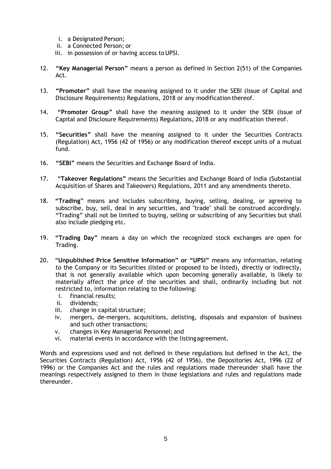- i. a Designated Person;
- ii. a Connected Person; or
- iii. in possession of or having access to UPSI.
- 12. **"Key Managerial Person"** means a person as defined in Section 2(51) of the Companies Act.
- 13. **"Promoter"** shall have the meaning assigned to it under the SEBI (Issue of Capital and Disclosure Requirements) Regulations, 2018 or any modification thereof.
- 14. **"Promoter Group"** shall have the meaning assigned to it under the SEBI (Issue of Capital and Disclosure Requirements) Regulations, 2018 or any modification thereof.
- 15. **"Securities"** shall have the meaning assigned to it under the Securities Contracts (Regulation) Act, 1956 (42 of 1956) or any modification thereof except units of a mutual fund.
- 16. **"SEBI"** means the Securities and Exchange Board of India.
- 17. "**Takeover Regulations"** means the Securities and Exchange Board of India (Substantial Acquisition of Shares and Takeovers) Regulations, 2011 and any amendments thereto.
- 18. **"Trading**" means and includes subscribing, buying, selling, dealing, or agreeing to subscribe, buy, sell, deal in any securities, and "trade" shall be construed accordingly. "Trading" shall not be limited to buying, selling or subscribing of any Securities but shall also include pledging etc.
- 19. **"Trading Day"** means a day on which the recognized stock exchanges are open for Trading.
- 20. "**Unpublished Price Sensitive Information" or "UPSI"** means any information, relating to the Company or its Securities (listed or proposed to be listed), directly or indirectly, that is not generally available which upon becoming generally available, is likely to materially affect the price of the securities and shall, ordinarily including but not restricted to, information relating to the following:
	- i. financial results;
	- ii. dividends;
	- iii. change in capital structure;
	- iv. mergers, de-mergers, acquisitions, delisting, disposals and expansion of business and such other transactions;
	- v. changes in Key Managerial Personnel; and
	- vi. material events in accordance with the listingagreement.

Words and expressions used and not defined in these regulations but defined in the Act, the Securities Contracts (Regulation) Act, 1956 (42 of 1956), the Depositories Act, 1996 (22 of 1996) or the Companies Act and the rules and regulations made thereunder shall have the meanings respectively assigned to them in those legislations and rules and regulations made thereunder.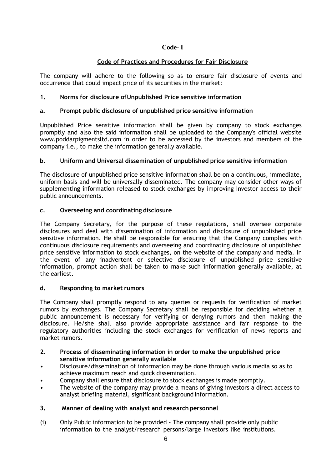# **Code- I**

# **Code of Practices and Procedures for Fair Disclosure**

The company will adhere to the following so as to ensure fair disclosure of events and occurrence that could impact price of its securities in the market:

# **1. Norms for disclosure ofUnpublished Price sensitive information**

# **a. Prompt public disclosure of unpublished price sensitive information**

Unpublished Price sensitive information shall be given by company to stock exchanges promptly and also the said information shall be uploaded to the Company's official websit[e](http://www.poddarpigmentsltd.com/) [www.poddarpigmentsltd.com i](http://www.poddarpigmentsltd.com/)n order to be accessed by the investors and members of the company i.e., to make the information generally available.

# **b. Uniform and Universal dissemination of unpublished price sensitive information**

The disclosure of unpublished price sensitive information shall be on a continuous, immediate, uniform basis and will be universally disseminated. The company may consider other ways of supplementing information released to stock exchanges by improving Investor access to their public announcements.

# **c. Overseeing and coordinating disclosure**

The Company Secretary, for the purpose of these regulations, shall oversee corporate disclosures and deal with dissemination of information and disclosure of unpublished price sensitive information. He shall be responsible for ensuring that the Company complies with continuous disclosure requirements and overseeing and coordinating disclosure of unpublished price sensitive information to stock exchanges, on the website of the company and media. In the event of any inadvertent or selective disclosure of unpublished price sensitive information, prompt action shall be taken to make such information generally available, at the earliest.

# **d. Responding to market rumors**

The Company shall promptly respond to any queries or requests for verification of market rumors by exchanges. The Company Secretary shall be responsible for deciding whether a public announcement is necessary for verifying or denying rumors and then making the disclosure. He/she shall also provide appropriate assistance and fair response to the regulatory authorities including the stock exchanges for verification of news reports and market rumors.

- **2. Process of disseminating information in order to make the unpublished price sensitive information generally available**
- Disclosure/dissemination of information may be done through various media so as to achieve maximum reach and quick dissemination.
- Company shall ensure that disclosure to stock exchanges is made promptly.
- The website of the company may provide a means of giving investors a direct access to analyst briefing material, significant backgroundinformation.

## **3. Manner of dealing with analyst and research personnel**

(i) Only Public information to be provided - The company shall provide only public information to the analyst/research persons/large investors like institutions.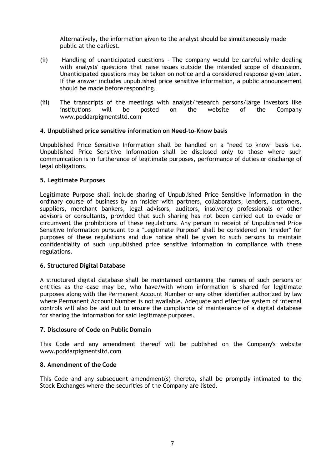Alternatively, the information given to the analyst should be simultaneously made public at the earliest.

- (ii) Handling of unanticipated questions The company would be careful while dealing with analysts' questions that raise issues outside the intended scope of discussion. Unanticipated questions may be taken on notice and a considered response given later. If the answer includes unpublished price sensitive information, a public announcement should be made before responding.
- (iii) The transcripts of the meetings with analyst/research persons/large investors like institutions will be posted on the website of the Compan[y](http://www.poddarpigmentsltd.com/) [www.poddarpigmentsltd.com](http://www.poddarpigmentsltd.com/)

## **4. Unpublished price sensitive information on Need-to-Know basis**

Unpublished Price Sensitive Information shall be handled on a "need to know" basis i.e. Unpublished Price Sensitive Information shall be disclosed only to those where such communication is in furtherance of legitimate purposes, performance of duties or discharge of legal obligations.

#### **5. Legitimate Purposes**

Legitimate Purpose shall include sharing of Unpublished Price Sensitive Information in the ordinary course of business by an insider with partners, collaborators, lenders, customers, suppliers, merchant bankers, legal advisors, auditors, insolvency professionals or other advisors or consultants, provided that such sharing has not been carried out to evade or circumvent the prohibitions of these regulations. Any person in receipt of Unpublished Price Sensitive Information pursuant to a "Legitimate Purpose" shall be considered an "insider" for purposes of these regulations and due notice shall be given to such persons to maintain confidentiality of such unpublished price sensitive information in compliance with these regulations.

#### **6. Structured Digital Database**

A structured digital database shall be maintained containing the names of such persons or entities as the case may be, who have/with whom information is shared for legitimate purposes along with the Permanent Account Number or any other identifier authorized by law where Permanent Account Number is not available. Adequate and effective system of internal controls will also be laid out to ensure the compliance of maintenance of a digital database for sharing the information for said legitimate purposes.

#### **7. Disclosure of Code on Public Domain**

This Code and any amendment thereof will be published on the Company's websit[e](http://www.poddarpigmentsltd.com/) [www.poddarpigmentsltd.com](http://www.poddarpigmentsltd.com/)

#### **8. Amendment of the Code**

This Code and any subsequent amendment(s) thereto, shall be promptly intimated to the Stock Exchanges where the securities of the Company are listed.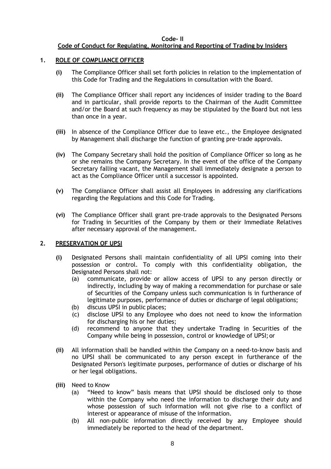## **Code- II**

# **Code of Conduct for Regulating, Monitoring and Reporting of Trading by Insiders**

# **1. ROLE OF COMPLIANCE OFFICER**

- **(i)** The Compliance Officer shall set forth policies in relation to the implementation of this Code for Trading and the Regulations in consultation with the Board.
- **(ii)** The Compliance Officer shall report any incidences of insider trading to the Board and in particular, shall provide reports to the Chairman of the Audit Committee and/or the Board at such frequency as may be stipulated by the Board but not less than once in a year.
- **(iii)** In absence of the Compliance Officer due to leave etc., the Employee designated by Management shall discharge the function of granting pre-trade approvals.
- **(iv)** The Company Secretary shall hold the position of Compliance Officer so long as he or she remains the Company Secretary. In the event of the office of the Company Secretary falling vacant, the Management shall immediately designate a person to act as the Compliance Officer until a successor is appointed.
- **(v)** The Compliance Officer shall assist all Employees in addressing any clarifications regarding the Regulations and this Code for Trading.
- **(vi)** The Compliance Officer shall grant pre-trade approvals to the Designated Persons for Trading in Securities of the Company by them or their Immediate Relatives after necessary approval of the management.

## **2. PRESERVATION OF UPSI**

- **(i)** Designated Persons shall maintain confidentiality of all UPSI coming into their possession or control. To comply with this confidentiality obligation, the Designated Persons shall not:
	- (a) communicate, provide or allow access of UPSI to any person directly or indirectly, including by way of making a recommendation for purchase or sale of Securities of the Company unless such communication is in furtherance of legitimate purposes, performance of duties or discharge of legal obligations;
	- (b) discuss UPSI in public places;
	- (c) disclose UPSI to any Employee who does not need to know the information for discharging his or her duties;
	- (d) recommend to anyone that they undertake Trading in Securities of the Company while being in possession, control or knowledge of UPSI;or
- **(ii)** All information shall be handled within the Company on a need-to-know basis and no UPSI shall be communicated to any person except in furtherance of the Designated Person's legitimate purposes, performance of duties or discharge of his or her legal obligations.
- **(iii)** Need to Know
	- (a) "Need to know" basis means that UPSI should be disclosed only to those within the Company who need the information to discharge their duty and whose possession of such information will not give rise to a conflict of interest or appearance of misuse of the information.
	- (b) All non-public information directly received by any Employee should immediately be reported to the head of the department.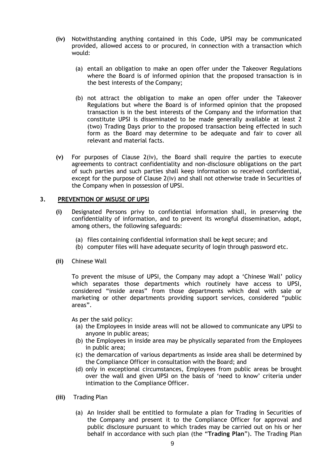- **(iv)** Notwithstanding anything contained in this Code, UPSI may be communicated provided, allowed access to or procured, in connection with a transaction which would:
	- (a) entail an obligation to make an open offer under the Takeover Regulations where the Board is of informed opinion that the proposed transaction is in the best interests of the Company;
	- (b) not attract the obligation to make an open offer under the Takeover Regulations but where the Board is of informed opinion that the proposed transaction is in the best interests of the Company and the information that constitute UPSI is disseminated to be made generally available at least 2 (two) Trading Days prior to the proposed transaction being effected in such form as the Board may determine to be adequate and fair to cover all relevant and material facts.
- **(v)** For purposes of Clause 2(iv), the Board shall require the parties to execute agreements to contract confidentiality and non-disclosure obligations on the part of such parties and such parties shall keep information so received confidential, except for the purpose of Clause 2(iv) and shall not otherwise trade in Securities of the Company when in possession of UPSI.

## **3. PREVENTION OF MISUSE OF UPSI**

- **(i)** Designated Persons privy to confidential information shall, in preserving the confidentiality of information, and to prevent its wrongful dissemination, adopt, among others, the following safeguards:
	- (a) files containing confidential information shall be kept secure; and
	- (b) computer files will have adequate security of login through password etc.
- **(ii)** Chinese Wall

To prevent the misuse of UPSI, the Company may adopt a 'Chinese Wall' policy which separates those departments which routinely have access to UPSI, considered "inside areas" from those departments which deal with sale or marketing or other departments providing support services, considered "public areas".

As per the said policy:

- (a) the Employees in inside areas will not be allowed to communicate any UPSI to anyone in public areas;
- (b) the Employees in inside area may be physically separated from the Employees in public area;
- (c) the demarcation of various departments as inside area shall be determined by the Compliance Officer in consultation with the Board; and
- (d) only in exceptional circumstances, Employees from public areas be brought over the wall and given UPSI on the basis of 'need to know' criteria under intimation to the Compliance Officer.
- **(iii)** Trading Plan
	- (a) An Insider shall be entitled to formulate a plan for Trading in Securities of the Company and present it to the Compliance Officer for approval and public disclosure pursuant to which trades may be carried out on his or her behalf in accordance with such plan (the "**Trading Plan**"). The Trading Plan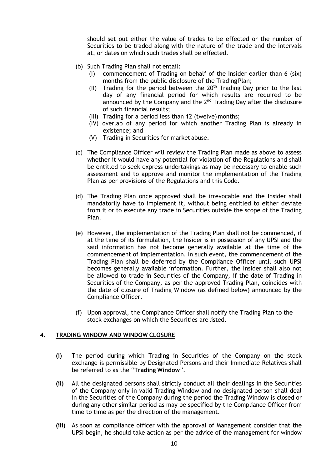should set out either the value of trades to be effected or the number of Securities to be traded along with the nature of the trade and the intervals at, or dates on which such trades shall be effected.

- (b) Such Trading Plan shall not entail:
	- (I) commencement of Trading on behalf of the Insider earlier than 6 (six) months from the public disclosure of the Trading Plan;
	- (II) Trading for the period between the  $20<sup>th</sup>$  Trading Day prior to the last day of any financial period for which results are required to be announced by the Company and the  $2<sup>nd</sup>$  Trading Day after the disclosure of such financial results;
	- (III) Trading for a period less than 12 (twelve)months;
	- (IV) overlap of any period for which another Trading Plan is already in existence; and
	- (V) Trading in Securities for market abuse.
- (c) The Compliance Officer will review the Trading Plan made as above to assess whether it would have any potential for violation of the Regulations and shall be entitled to seek express undertakings as may be necessary to enable such assessment and to approve and monitor the implementation of the Trading Plan as per provisions of the Regulations and this Code.
- (d) The Trading Plan once approved shall be irrevocable and the Insider shall mandatorily have to implement it, without being entitled to either deviate from it or to execute any trade in Securities outside the scope of the Trading Plan.
- (e) However, the implementation of the Trading Plan shall not be commenced, if at the time of its formulation, the Insider is in possession of any UPSI and the said information has not become generally available at the time of the commencement of implementation. In such event, the commencement of the Trading Plan shall be deferred by the Compliance Officer until such UPSI becomes generally available information. Further, the Insider shall also not be allowed to trade in Securities of the Company, if the date of Trading in Securities of the Company, as per the approved Trading Plan, coincides with the date of closure of Trading Window (as defined below) announced by the Compliance Officer.
- (f) Upon approval, the Compliance Officer shall notify the Trading Plan to the stock exchanges on which the Securities are listed.

## **4. TRADING WINDOW AND WINDOW CLOSURE**

- **(i)** The period during which Trading in Securities of the Company on the stock exchange is permissible by Designated Persons and their Immediate Relatives shall be referred to as the "**Trading Window**".
- **(ii)** All the designated persons shall strictly conduct all their dealings in the Securities of the Company only in valid Trading Window and no designated person shall deal in the Securities of the Company during the period the Trading Window is closed or during any other similar period as may be specified by the Compliance Officer from time to time as per the direction of the management.
- **(iii)** As soon as compliance officer with the approval of Management consider that the UPSI begin, he should take action as per the advice of the management for window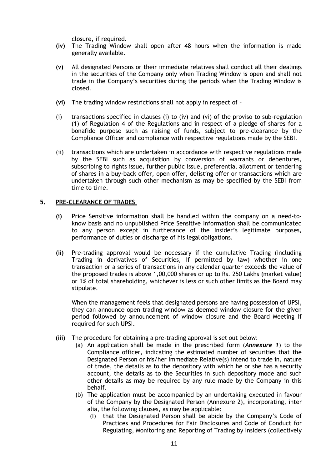closure, if required.

- **(iv)** The Trading Window shall open after 48 hours when the information is made generally available.
- **(v)** All designated Persons or their immediate relatives shall conduct all their dealings in the securities of the Company only when Trading Window is open and shall not trade in the Company's securities during the periods when the Trading Window is closed.
- **(vi)** The trading window restrictions shall not apply in respect of –
- (i) transactions specified in clauses (i) to (iv) and (vi) of the proviso to sub-regulation (1) of Regulation 4 of the Regulations and in respect of a pledge of shares for a bonafide purpose such as raising of funds, subject to pre-clearance by the Compliance Officer and compliance with respective regulations made by the SEBI.
- (ii) transactions which are undertaken in accordance with respective regulations made by the SEBI such as acquisition by conversion of warrants or debentures, subscribing to rights issue, further public issue, preferential allotment or tendering of shares in a buy-back offer, open offer, delisting offer or transactions which are undertaken through such other mechanism as may be specified by the SEBI from time to time.

## **5. PRE-CLEARANCE OF TRADES**

- **(i)** Price Sensitive information shall be handled within the company on a need-toknow basis and no unpublished Price Sensitive Information shall be communicated to any person except in furtherance of the Insider's legitimate purposes, performance of duties or discharge of his legal obligations.
- **(ii)** Pre-trading approval would be necessary if the cumulative Trading (including Trading in derivatives of Securities, if permitted by law) whether in one transaction or a series of transactions in any calendar quarter exceeds the value of the proposed trades is above 1,00,000 shares or up to Rs. 250 Lakhs (market value) or 1% of total shareholding, whichever is less or such other limits as the Board may stipulate.

When the management feels that designated persons are having possession of UPSI, they can announce open trading window as deemed window closure for the given period followed by announcement of window closure and the Board Meeting if required for such UPSI.

- **(iii)** The procedure for obtaining a pre-trading approval is set out below:
	- (a) An application shall be made in the prescribed form (*Annexure 1*) to the Compliance officer, indicating the estimated number of securities that the Designated Person or his/her Immediate Relative(s) intend to trade in, nature of trade, the details as to the depository with which he or she has a security account, the details as to the Securities in such depository mode and such other details as may be required by any rule made by the Company in this behalf.
	- (b) The application must be accompanied by an undertaking executed in favour of the Company by the Designated Person (Annexure 2), incorporating, inter alia, the following clauses, as may be applicable:
		- (I) that the Designated Person shall be abide by the Company's Code of Practices and Procedures for Fair Disclosures and Code of Conduct for Regulating, Monitoring and Reporting of Trading by Insiders (collectively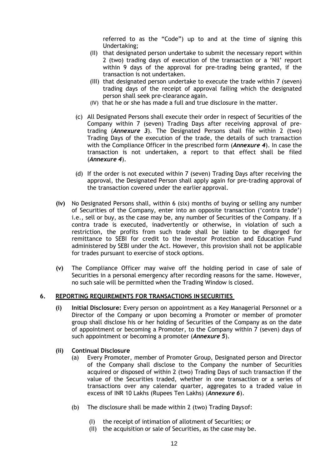referred to as the "Code") up to and at the time of signing this Undertaking;

- (II) that designated person undertake to submit the necessary report within 2 (two) trading days of execution of the transaction or a 'Nil' report within 9 days of the approval for pre-trading being granted, if the transaction is not undertaken.
- (III) that designated person undertake to execute the trade within 7 (seven) trading days of the receipt of approval failing which the designated person shall seek pre-clearance again.
- (IV) that he or she has made a full and true disclosure in the matter.
- (c) All Designated Persons shall execute their order in respect of Securities of the Company within 7 (seven) Trading Days after receiving approval of pretrading (*Annexure 3*). The Designated Persons shall file within 2 (two) Trading Days of the execution of the trade, the details of such transaction with the Compliance Officer in the prescribed form (*Annexure 4*). In case the transaction is not undertaken, a report to that effect shall be filed (*Annexure 4*).
- (d) If the order is not executed within 7 (seven) Trading Days after receiving the approval, the Designated Person shall apply again for pre-trading approval of the transaction covered under the earlier approval.
- **(iv)** No Designated Persons shall, within 6 (six) months of buying or selling any number of Securities of the Company, enter into an opposite transaction ('contra trade') i.e., sell or buy, as the case may be, any number of Securities of the Company. If a contra trade is executed, inadvertently or otherwise, in violation of such a restriction, the profits from such trade shall be liable to be disgorged for remittance to SEBI for credit to the Investor Protection and Education Fund administered by SEBI under the Act. However, this provision shall not be applicable for trades pursuant to exercise of stock options.
- **(v)** The Compliance Officer may waive off the holding period in case of sale of Securities in a personal emergency after recording reasons for the same. However, no such sale will be permitted when the Trading Window is closed.

## **6. REPORTING REQUIREMENTS FOR TRANSACTIONS IN SECURITIES**

- **(i) Initial Disclosure:** Every person on appointment as a Key Managerial Personnel or a Director of the Company or upon becoming a Promoter or member of promoter group shall disclose his or her holding of Securities of the Company as on the date of appointment or becoming a Promoter, to the Company within 7 (seven) days of such appointment or becoming a promoter (*Annexure 5*).
- **(ii) Continual Disclosure**
	- (a) Every Promoter, member of Promoter Group, Designated person and Director of the Company shall disclose to the Company the number of Securities acquired or disposed of within 2 (two) Trading Days of such transaction if the value of the Securities traded, whether in one transaction or a series of transactions over any calendar quarter, aggregates to a traded value in excess of INR 10 Lakhs (Rupees Ten Lakhs) (*Annexure 6*).
	- (b) The disclosure shall be made within 2 (two) Trading Daysof:
		- (I) the receipt of intimation of allotment of Securities; or
		- (II) the acquisition or sale of Securities, as the case may be.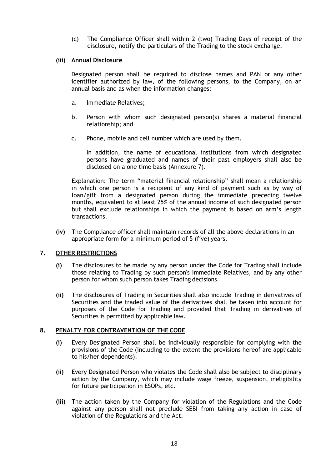(c) The Compliance Officer shall within 2 (two) Trading Days of receipt of the disclosure, notify the particulars of the Trading to the stock exchange.

#### **(iii) Annual Disclosure**

Designated person shall be required to disclose names and PAN or any other identifier authorized by law, of the following persons, to the Company, on an annual basis and as when the information changes:

- a. Immediate Relatives;
- b. Person with whom such designated person(s) shares a material financial relationship; and
- c. Phone, mobile and cell number which are used by them.

In addition, the name of educational institutions from which designated persons have graduated and names of their past employers shall also be disclosed on a one time basis (Annexure 7).

Explanation: The term "material financial relationship" shall mean a relationship in which one person is a recipient of any kind of payment such as by way of loan/gift from a designated person during the immediate preceding twelve months, equivalent to at least 25% of the annual income of such designated person but shall exclude relationships in which the payment is based on arm's length transactions.

**(iv)** The Compliance officer shall maintain records of all the above declarations in an appropriate form for a minimum period of 5 (five) years.

## **7. OTHER RESTRICTIONS**

- **(i)** The disclosures to be made by any person under the Code for Trading shall include those relating to Trading by such person's Immediate Relatives, and by any other person for whom such person takes Trading decisions.
- **(ii)** The disclosures of Trading in Securities shall also include Trading in derivatives of Securities and the traded value of the derivatives shall be taken into account for purposes of the Code for Trading and provided that Trading in derivatives of Securities is permitted by applicable law.

#### **8. PENALTY FOR CONTRAVENTION OF THE CODE**

- **(i)** Every Designated Person shall be individually responsible for complying with the provisions of the Code (including to the extent the provisions hereof are applicable to his/her dependents).
- **(ii)** Every Designated Person who violates the Code shall also be subject to disciplinary action by the Company, which may include wage freeze, suspension, ineligibility for future participation in ESOPs, etc.
- **(iii)** The action taken by the Company for violation of the Regulations and the Code against any person shall not preclude SEBI from taking any action in case of violation of the Regulations and the Act.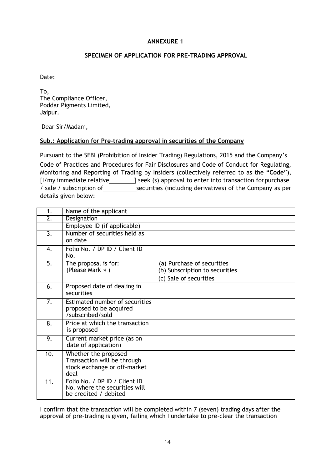# **SPECIMEN OF APPLICATION FOR PRE-TRADING APPROVAL**

Date:

To, The Compliance Officer, Poddar Pigments Limited, Jaipur.

Dear Sir/Madam,

## **Sub.: Application for Pre-trading approval in securities of the Company**

Pursuant to the SEBI (Prohibition of Insider Trading) Regulations, 2015 and the Company's Code of Practices and Procedures for Fair Disclosures and Code of Conduct for Regulating, Monitoring and Reporting of Trading by Insiders (collectively referred to as the "**Code**"), [I/my immediate relative \_\_\_\_\_\_\_\_\_] seek (s) approval to enter into transaction for purchase / sale / subscription of securities (including derivatives) of the Company as per details given below:

| 1.               | Name of the applicant                                                                       |                                                                                        |
|------------------|---------------------------------------------------------------------------------------------|----------------------------------------------------------------------------------------|
| $\overline{2}$ . | Designation                                                                                 |                                                                                        |
|                  | Employee ID (if applicable)                                                                 |                                                                                        |
| 3.               | Number of securities held as<br>on date                                                     |                                                                                        |
| 4.               | Folio No. / DP ID / Client ID<br>No.                                                        |                                                                                        |
| 5.               | The proposal is for:<br>(Please Mark $\sqrt{}$ )                                            | (a) Purchase of securities<br>(b) Subscription to securities<br>(c) Sale of securities |
| 6.               | Proposed date of dealing in<br>securities                                                   |                                                                                        |
| 7.               | Estimated number of securities<br>proposed to be acquired<br>/subscribed/sold               |                                                                                        |
| 8.               | Price at which the transaction<br>is proposed                                               |                                                                                        |
| 9.               | Current market price (as on<br>date of application)                                         |                                                                                        |
| 10.              | Whether the proposed<br>Transaction will be through<br>stock exchange or off-market<br>deal |                                                                                        |
| 11.              | Folio No. / DP ID / Client ID<br>No. where the securities will<br>be credited / debited     |                                                                                        |

I confirm that the transaction will be completed within 7 (seven) trading days after the approval of pre-trading is given, failing which I undertake to pre-clear the transaction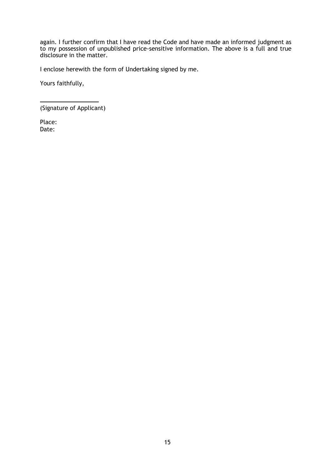again. I further confirm that I have read the Code and have made an informed judgment as to my possession of unpublished price-sensitive information. The above is a full and true disclosure in the matter.

I enclose herewith the form of Undertaking signed by me.

Yours faithfully,

(Signature of Applicant)

Place: Date: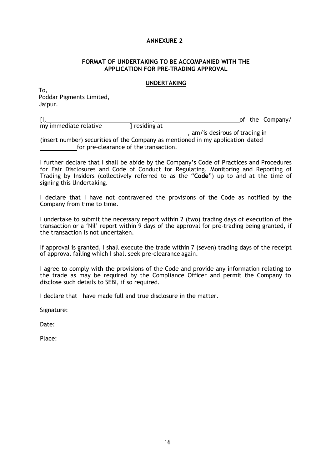#### **FORMAT OF UNDERTAKING TO BE ACCOMPANIED WITH THE APPLICATION FOR PRE-TRADING APPROVAL**

#### **UNDERTAKING**

To, Poddar Pigments Limited, Jaipur.

[I, , of the Company/ my immediate relative , am/is desirous of trading in

(insert number) securities of the Company as mentioned in my application dated for pre-clearance of the transaction.

I further declare that I shall be abide by the Company's Code of Practices and Procedures for Fair Disclosures and Code of Conduct for Regulating, Monitoring and Reporting of Trading by Insiders (collectively referred to as the "**Code**") up to and at the time of signing this Undertaking.

I declare that I have not contravened the provisions of the Code as notified by the Company from time to time.

I undertake to submit the necessary report within 2 (two) trading days of execution of the transaction or a 'Nil' report within 9 days of the approval for pre-trading being granted, if the transaction is not undertaken.

If approval is granted, I shall execute the trade within 7 (seven) trading days of the receipt of approval failing which I shall seek pre-clearance again.

I agree to comply with the provisions of the Code and provide any information relating to the trade as may be required by the Compliance Officer and permit the Company to disclose such details to SEBI, if so required.

I declare that I have made full and true disclosure in the matter.

Signature:

Date:

Place: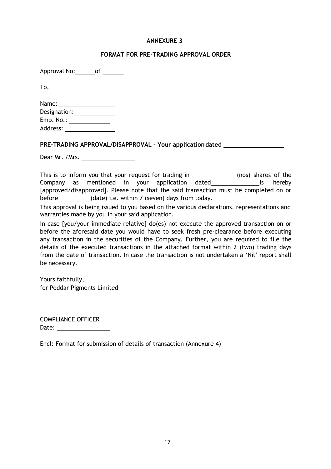## **FORMAT FOR PRE-TRADING APPROVAL ORDER**

Approval No: of

To,

| Name:        |  |
|--------------|--|
| Designation: |  |
| Emp. No.:    |  |
| Address:     |  |

**PRE-TRADING APPROVAL/DISAPPROVAL – Your applicationdated** 

Dear Mr. /Mrs.

This is to inform you that your request for trading in \_\_\_\_\_\_\_\_\_\_\_\_\_\_\_(nos) shares of the Company as mentioned in your application dated is hereby [approved/disapproved]. Please note that the said transaction must be completed on or before (date) i.e. within 7 (seven) days from today.

This approval is being issued to you based on the various declarations, representations and warranties made by you in your said application.

In case [you/your immediate relative] do(es) not execute the approved transaction on or before the aforesaid date you would have to seek fresh pre-clearance before executing any transaction in the securities of the Company. Further, you are required to file the details of the executed transactions in the attached format within 2 (two) trading days from the date of transaction. In case the transaction is not undertaken a 'Nil' report shall be necessary.

Yours faithfully, for Poddar Pigments Limited

COMPLIANCE OFFICER Date: when the contract of the contract of the contract of the contract of the contract of the contract of the contract of the contract of the contract of the contract of the contract of the contract of the contract of the

Encl: Format for submission of details of transaction (Annexure 4)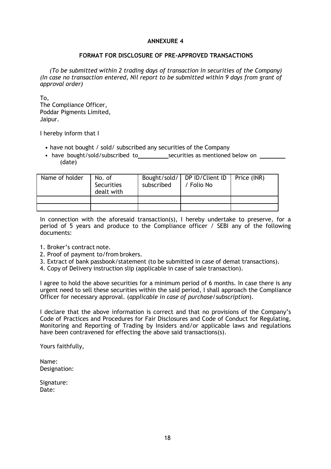#### **FORMAT FOR DISCLOSURE OF PRE-APPROVED TRANSACTIONS**

*(To be submitted within 2 trading days of transaction in securities of the Company) (In case no transaction entered, Nil report to be submitted within 9 days from grant of approval order)*

To, The Compliance Officer, Poddar Pigments Limited, Jaipur.

I hereby inform that I

- have not bought / sold/ subscribed any securities of the Company
- have bought/sold/subscribed to securities as mentioned below on (date)

| Name of holder | No. of<br>Securities<br>dealt with | subscribed | Bought/sold/   DP ID/Client ID   Price (INR)<br>/ Folio No |  |
|----------------|------------------------------------|------------|------------------------------------------------------------|--|
|                |                                    |            |                                                            |  |
|                |                                    |            |                                                            |  |

In connection with the aforesaid transaction(s), I hereby undertake to preserve, for a period of 5 years and produce to the Compliance officer / SEBI any of the following documents:

- 1. Broker's contract note.
- 2. Proof of payment to/from brokers.
- 3. Extract of bank passbook/statement (to be submitted in case of demat transactions).
- 4. Copy of Delivery instruction slip (applicable in case of sale transaction).

I agree to hold the above securities for a minimum period of 6 months. In case there is any urgent need to sell these securities within the said period, I shall approach the Compliance Officer for necessary approval. (*applicable in case of purchase/subscription*).

I declare that the above information is correct and that no provisions of the Company's Code of Practices and Procedures for Fair Disclosures and Code of Conduct for Regulating, Monitoring and Reporting of Trading by Insiders and/or applicable laws and regulations have been contravened for effecting the above said transactions(s).

Yours faithfully,

Name: Designation:

Signature: Date: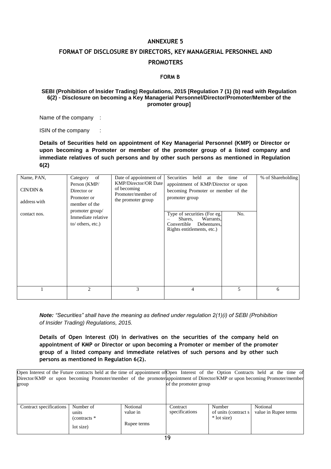# **FORMAT OF DISCLOSURE BY DIRECTORS, KEY MANAGERIAL PERSONNEL AND PROMOTERS**

#### **FORM B**

#### **SEBI (Prohibition of Insider Trading) Regulations, 2015 [Regulation 7 (1) (b) read with Regulation 6(2) – Disclosure on becoming a Key Managerial Personnel/Director/Promoter/Member of the promoter group]**

Name of the company :

ISIN of the company :

**Details of Securities held on appointment of Key Managerial Personnel (KMP) or Director or upon becoming a Promoter or member of the promoter group of a listed company and immediate relatives of such persons and by other such persons as mentioned in Regulation 6(2)**

| Name, PAN,<br>CIN/DIN $&$<br>address with<br>contact nos. | of<br>Category<br>Person (KMP/<br>Director or<br>Promoter or<br>member of the<br>promoter group/<br>Immediate relative<br>to/ others, etc.)<br>2 | Date of appointment of<br><b>KMP/Director/OR Date</b><br>of becoming<br>Promoter/member of<br>the promoter group<br>3 | Securities<br>held<br>the<br>at<br>appointment of KMP/Director or upon<br>becoming Promoter or member of the<br>promoter group<br>Type of securities (For eg.<br>Warrants,<br>Shares,<br>Convertible<br>Debentures.<br>Rights entitlements, etc.)<br>$\overline{4}$ | time of<br>No.<br>5 | % of Shareholding<br>6 |
|-----------------------------------------------------------|--------------------------------------------------------------------------------------------------------------------------------------------------|-----------------------------------------------------------------------------------------------------------------------|---------------------------------------------------------------------------------------------------------------------------------------------------------------------------------------------------------------------------------------------------------------------|---------------------|------------------------|
|                                                           |                                                                                                                                                  |                                                                                                                       |                                                                                                                                                                                                                                                                     |                     |                        |

*Note: "Securities" shall have the meaning as defined under regulation 2(1)(i) of SEBI (Prohibition of Insider Trading) Regulations, 2015.*

**Details of Open Interest (OI) in derivatives on the securities of the company held on appointment of KMP or Director or upon becoming a Promoter or member of the promoter group of a listed company and immediate relatives of such persons and by other such persons as mentioned in Regulation 6(2).**

| Open Interest of the Future contracts held at the time of appointment of Open Interest of the Option Contracts held at the time of |                       |  |  |  |  |  |
|------------------------------------------------------------------------------------------------------------------------------------|-----------------------|--|--|--|--|--|
| Director/KMP or upon becoming Promoter/member of the promoter appointment of Director/KMP or upon becoming Promoter/member         |                       |  |  |  |  |  |
| group                                                                                                                              | of the promoter group |  |  |  |  |  |
|                                                                                                                                    |                       |  |  |  |  |  |
|                                                                                                                                    |                       |  |  |  |  |  |

| Contract specifications | Number of      | Notional    | Contract       | Number                | Notional             |
|-------------------------|----------------|-------------|----------------|-----------------------|----------------------|
|                         | units          | value in    | specifications | of units (contract s) | value in Rupee terms |
|                         | (contracts $*$ |             |                | * lot size)           |                      |
|                         | lot size)      | Rupee terms |                |                       |                      |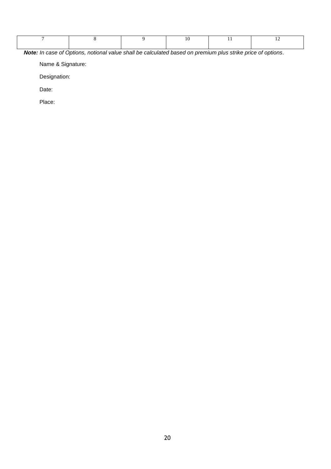*Note: In case of Options, notional value shall be calculated based on premium plus strike price of options.*

Name & Signature:

Designation:

Date:

Place: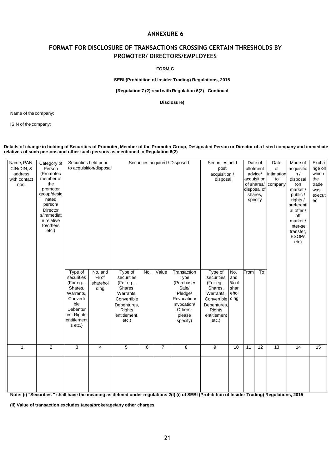# **FORMAT FOR DISCLOSURE OF TRANSACTIONS CROSSING CERTAIN THRESHOLDS BY PROMOTER/ DIRECTORS/EMPLOYEES**

**FORM C**

**SEBI (Prohibition of Insider Trading) Regulations, 2015** 

**[Regulation 7 (2) read with Regulation 6(2) – Continual**

**Disclosure)**

Name of the company:

ISIN of the company:

#### **Details of change in holding of Securities of Promoter, Member of the Promoter Group, Designated Person or Director of a listed company and immediate relatives of such persons and other such persons as mentioned in Regulation 6(2)**

| Name, PAN,<br>CIN/DIN, &<br>address<br>with contact<br>nos. | Category of<br>Person<br>(Promoter/<br>member of<br>the<br>promoter<br>group/desig<br>nated<br>person/<br>Director<br>s/immediat<br>e relative<br>to/others<br>etc.) | Securities held prior                                                                                                              | to acquisition/disposal             | Type of<br>Value<br>Transaction<br>No.                                                                            |   |                | Securities held<br>post<br>acquisition /<br>disposal                                                  |                                                                                                                                  |                                    | Date of<br>allotment<br>advice/<br>acquisition<br>of shares/<br>disposal of<br>shares,<br>specify | Date<br>of<br>intimation<br>to<br>company | Mode of<br>acquisitio<br>n/<br>disposal<br>(on<br>market /<br>public /<br>rights /<br>preferenti<br>al offer /<br>off<br>market /<br>Inter-se<br>transfer.<br><b>ESOPs</b><br>etc) | Excha<br>nge on<br>which<br>the<br>trade<br>was<br>execut<br>ed |    |
|-------------------------------------------------------------|----------------------------------------------------------------------------------------------------------------------------------------------------------------------|------------------------------------------------------------------------------------------------------------------------------------|-------------------------------------|-------------------------------------------------------------------------------------------------------------------|---|----------------|-------------------------------------------------------------------------------------------------------|----------------------------------------------------------------------------------------------------------------------------------|------------------------------------|---------------------------------------------------------------------------------------------------|-------------------------------------------|------------------------------------------------------------------------------------------------------------------------------------------------------------------------------------|-----------------------------------------------------------------|----|
|                                                             |                                                                                                                                                                      | Type of<br>securities<br>(For eg. -<br>Shares,<br>Warrants,<br>Converti<br>ble<br>Debentur<br>es, Rights<br>entitlement<br>s etc.) | No. and<br>% of<br>sharehol<br>ding | securities<br>(For eg. -<br>Shares,<br>Warrants,<br>Convertible<br>Debentures,<br>Rights<br>entitlement,<br>etc.) |   |                | Type<br>(Purchase/<br>Sale/<br>Pledge/<br>Revocation/<br>Invocation/<br>Others-<br>please<br>specify) | Type of<br>securities<br>(For eg. -<br>Shares,<br>Warrants,<br>Convertible ding<br>Debentures,<br>Rights<br>entitlement<br>etc.) | No.<br>and<br>% of<br>shar<br>ehol | From                                                                                              | To                                        |                                                                                                                                                                                    |                                                                 |    |
| $\mathbf{1}$                                                | $\overline{2}$                                                                                                                                                       | $\overline{3}$                                                                                                                     | $\overline{4}$                      | $\sqrt{5}$                                                                                                        | 6 | $\overline{7}$ | $\overline{8}$                                                                                        | 9                                                                                                                                | 10                                 | 11                                                                                                | 12                                        | $\overline{13}$                                                                                                                                                                    | 14                                                              | 15 |
|                                                             |                                                                                                                                                                      |                                                                                                                                    |                                     |                                                                                                                   |   |                |                                                                                                       |                                                                                                                                  |                                    |                                                                                                   |                                           |                                                                                                                                                                                    |                                                                 |    |

**Note: (i) "Securities " shall have the meaning as defined under regulations 2(I) (i) of SEBI (Prohibition of Insider Trading) Regulations, 2015**

**(ii) Value of transaction excludes taxes/brokerage/any other charges**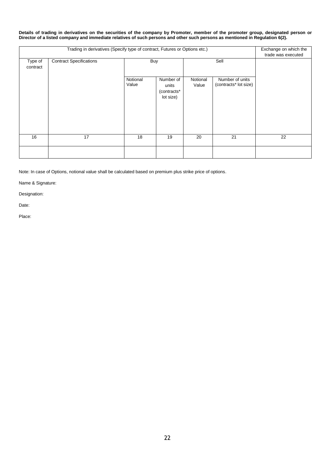**Details of trading in derivatives on the securities of the company by Promoter, member of the promoter group, designated person or Director of a listed company and immediate relatives of such persons and other such persons as mentioned in Regulation 6(2).**

|                     | Exchange on which the<br>trade was executed |                   |                                                |                   |                                          |    |
|---------------------|---------------------------------------------|-------------------|------------------------------------------------|-------------------|------------------------------------------|----|
| Type of<br>contract | <b>Contract Specifications</b>              | <b>Buy</b>        |                                                |                   | Sell                                     |    |
|                     |                                             | Notional<br>Value | Number of<br>units<br>(contracts*<br>lot size) | Notional<br>Value | Number of units<br>(contracts* lot size) |    |
| 16                  | 17                                          | 18                | 19                                             | 20                | 21                                       | 22 |
|                     |                                             |                   |                                                |                   |                                          |    |

Note: In case of Options, notional value shall be calculated based on premium plus strike price of options.

Name & Signature:

Designation:

Date:

Place: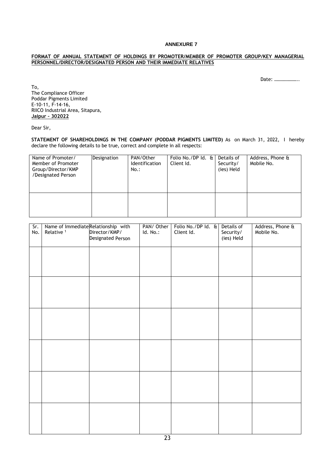#### **FORMAT OF ANNUAL STATEMENT OF HOLDINGS BY PROMOTER/MEMBER OF PROMOTER GROUP/KEY MANAGERIAL PERSONNEL/DIRECTOR/DESIGNATED PERSON AND THEIR IMMEDIATE RELATIVES**

Date: ………………..

To, The Compliance Officer Poddar Pigments Limited E-10-11, F-14-16, RIICO Industrial Area, Sitapura, **Jaipur – 302022**

Dear Sir,

**STATEMENT OF SHAREHOLDINGS IN THE COMPANY (PODDAR PIGMENTS LIMITED)** As on March 31, 2022, I hereby declare the following details to be true, correct and complete in all respects:

| Name of Promoter/<br>Member of Promoter<br>Group/Director/KMP<br>/Designated Person | Designation | PAN/Other<br>Identification<br>No.: | Folio No./DP Id. $\mathbf{t}$<br>Client Id. | Details of<br>Security/<br>(ies) Held | Address, Phone &<br>Mobile No. |
|-------------------------------------------------------------------------------------|-------------|-------------------------------------|---------------------------------------------|---------------------------------------|--------------------------------|
|                                                                                     |             |                                     |                                             |                                       |                                |

| Sr.<br>No. | Name of ImmediateRelationship with<br>Relative <sup>1</sup> | Director/KMP/<br>Designated Person | PAN/ Other<br>Id. No.: | Folio No./DP Id. & Details of<br>Client Id. | Security/<br>(ies) Held | Address, Phone &<br>Mobile No. |
|------------|-------------------------------------------------------------|------------------------------------|------------------------|---------------------------------------------|-------------------------|--------------------------------|
|            |                                                             |                                    |                        |                                             |                         |                                |
|            |                                                             |                                    |                        |                                             |                         |                                |
|            |                                                             |                                    |                        |                                             |                         |                                |
|            |                                                             |                                    |                        |                                             |                         |                                |
|            |                                                             |                                    |                        |                                             |                         |                                |
|            |                                                             |                                    |                        |                                             |                         |                                |
|            |                                                             |                                    |                        |                                             |                         |                                |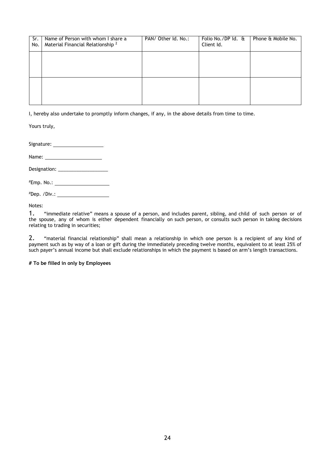| Sr.<br>No. | Name of Person with whom I share a<br>Material Financial Relationship <sup>2</sup> | PAN/ Other Id. No.: | Folio No./DP Id. &<br>Client Id. | Phone & Mobile No. |
|------------|------------------------------------------------------------------------------------|---------------------|----------------------------------|--------------------|
|            |                                                                                    |                     |                                  |                    |
|            |                                                                                    |                     |                                  |                    |
|            |                                                                                    |                     |                                  |                    |

I, hereby also undertake to promptly inform changes, if any, in the above details from time to time.

Yours truly,

Signature:

Name:

Designation: \_\_\_\_\_\_\_\_\_\_\_\_\_\_\_\_\_\_\_

#Emp. No.:

#Dep. /Div.:

Notes:

1. "immediate relative" means a spouse of a person, and includes parent, sibling, and child of such person or of the spouse, any of whom is either dependent financially on such person, or consults such person in taking decisions relating to trading in securities;

2. "material financial relationship" shall mean a relationship in which one person is a recipient of any kind of payment such as by way of a loan or gift during the immediately preceding twelve months, equivalent to at least 25% of such payer's annual income but shall exclude relationships in which the payment is based on arm's length transactions.

**# To be filled in only by Employees**